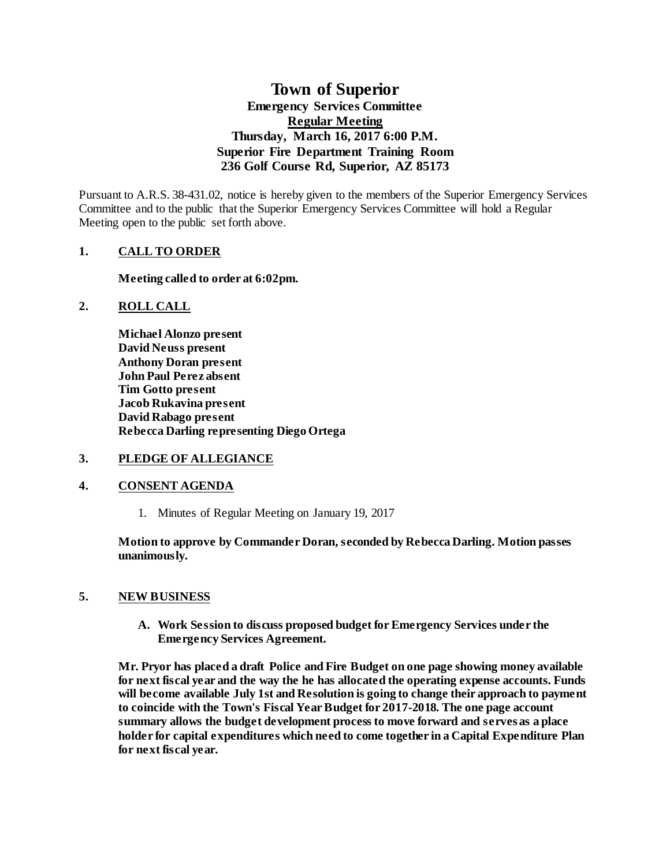# **Town of Superior Emergency Services Committee Regular Meeting Thursday, March 16, 2017 6:00 P.M. Superior Fire Department Training Room 236 Golf Course Rd, Superior, AZ 85173**

Pursuant to A.R.S. 38-431.02, notice is hereby given to the members of the Superior Emergency Services Committee and to the public that the Superior Emergency Services Committee will hold a Regular Meeting open to the public set forth above.

## **1. CALL TO ORDER**

**Meeting called to order at 6:02pm.**

### **2. ROLL CALL**

**Michael Alonzo present David Neuss present Anthony Doran present John Paul Perez absent Tim Gotto present Jacob Rukavina present David Rabago present Rebecca Darling representing Diego Ortega**

### **3. PLEDGE OF ALLEGIANCE**

### **4. CONSENT AGENDA**

1. Minutes of Regular Meeting on January 19, 2017

**Motion to approve by Commander Doran, seconded by Rebecca Darling. Motion passes unanimously.** 

### **5. NEW BUSINESS**

**A. Work Session to discuss proposed budget for Emergency Services under the Emergency Services Agreement.**

**Mr. Pryor has placed a draft Police and Fire Budget on one page showing money available for next fiscal year and the way the he has allocated the operating expense accounts. Funds will become available July 1st and Resolution is going to change their approach to payment to coincide with the Town's Fiscal Year Budget for 2017-2018. The one page account summary allows the budget development process to move forward and serves as a place holder for capital expenditures which need to come together in a Capital Expenditure Plan for next fiscal year.**